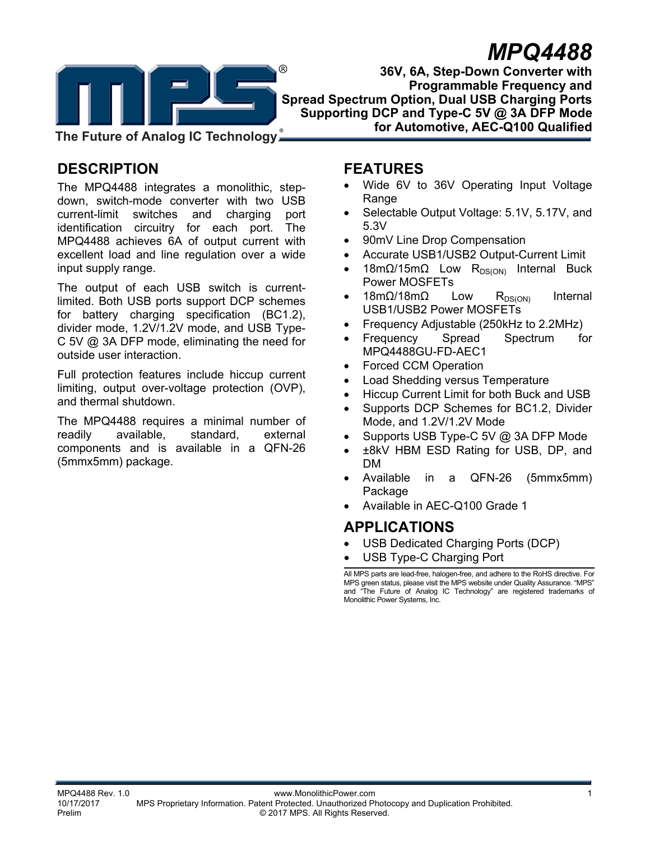

**MPQ4488 36V, 6A, Step-Down Converter with Programmable Frequency and Spread Spectrum Option, Dual USB Charging Ports Supporting DCP and Type-C 5V @ 3A DFP Mode for Automotive, AEC-Q100 Qualified** 

**The Future of Analog IC Technology**

# **DESCRIPTION**

The MPQ4488 integrates a monolithic, stepdown, switch-mode converter with two USB current-limit switches and charging port identification circuitry for each port. The MPQ4488 achieves 6A of output current with excellent load and line regulation over a wide input supply range.

The output of each USB switch is currentlimited. Both USB ports support DCP schemes for battery charging specification (BC1.2), divider mode, 1.2V/1.2V mode, and USB Type-C 5V @ 3A DFP mode, eliminating the need for outside user interaction.

Full protection features include hiccup current limiting, output over-voltage protection (OVP), and thermal shutdown.

The MPQ4488 requires a minimal number of readily available, standard, external components and is available in a QFN-26 (5mmx5mm) package.

## **FEATURES**

- Wide 6V to 36V Operating Input Voltage Range
- Selectable Output Voltage: 5.1V, 5.17V, and 5.3V
- 90mV Line Drop Compensation
- Accurate USB1/USB2 Output-Current Limit
- 18mΩ/15mΩ Low R<sub>DS(ON)</sub> Internal Buck Power MOSFETs
- 18mΩ/18mΩ Low R<sub>DS(ON)</sub> Internal USB1/USB2 Power MOSFETs
- Frequency Adjustable (250kHz to 2.2MHz)
- Frequency Spread Spectrum for MPQ4488GU-FD-AEC1
- Forced CCM Operation
- Load Shedding versus Temperature
- Hiccup Current Limit for both Buck and USB
- Supports DCP Schemes for BC1.2, Divider Mode, and 1.2V/1.2V Mode
- Supports USB Type-C 5V @ 3A DFP Mode
- ±8kV HBM ESD Rating for USB, DP, and DM
- Available in a QFN-26 (5mmx5mm) Package
- Available in AEC-Q100 Grade 1

### **APPLICATIONS**

- USB Dedicated Charging Ports (DCP)
- USB Type-C Charging Port

All MPS parts are lead-free, halogen-free, and adhere to the RoHS directive. For MPS green status, please visit the MPS website under Quality Assurance. "MPS" and "The Future of Analog IC Technology" are registered trademarks of Monolithic Power Systems, Inc.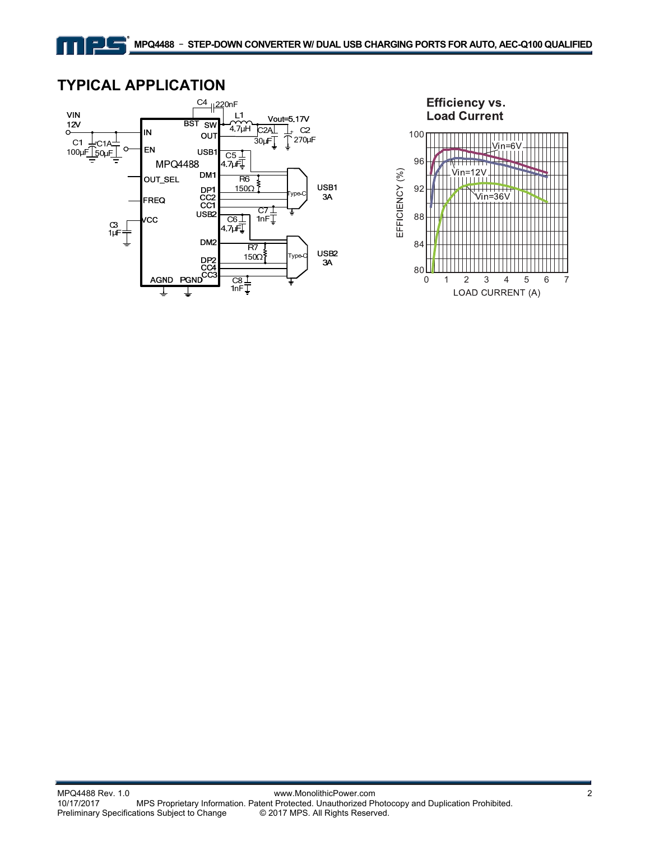

### **TYPICAL APPLICATION**

그녀

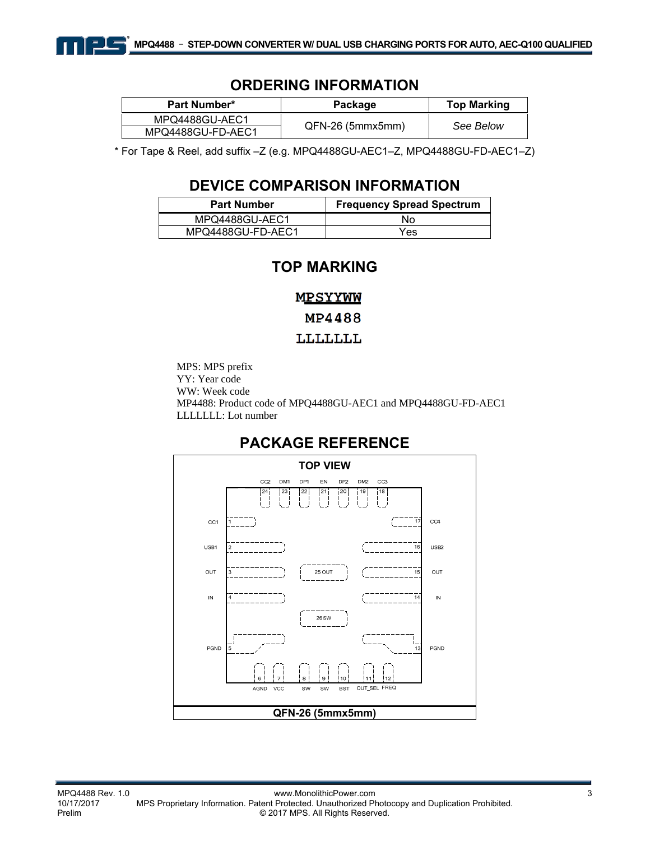

#### **ORDERING INFORMATION**

| <b>Part Number*</b> | Package            | <b>Top Marking</b> |  |
|---------------------|--------------------|--------------------|--|
| MPQ4488GU-AEC1      |                    | See Below          |  |
| MPQ4488GU-FD-AEC1   | $QFN-26$ (5mmx5mm) |                    |  |

\* For Tape & Reel, add suffix –Z (e.g. MPQ4488GU-AEC1–Z, MPQ4488GU-FD-AEC1–Z)

### **DEVICE COMPARISON INFORMATION**

| <b>Part Number</b> | <b>Frequency Spread Spectrum</b> |
|--------------------|----------------------------------|
| MPQ4488GU-AEC1     | Nο                               |
| MPQ4488GU-FD-AEC1  | Yes                              |

### **TOP MARKING**

MPSYYWW MP4488

#### LLLLLLL

MPS: MPS prefix YY: Year code WW: Week code MP4488: Product code of MPQ4488GU-AEC1 and MPQ4488GU-FD-AEC1 LLLLLLL: Lot number

### **PACKAGE REFERENCE**

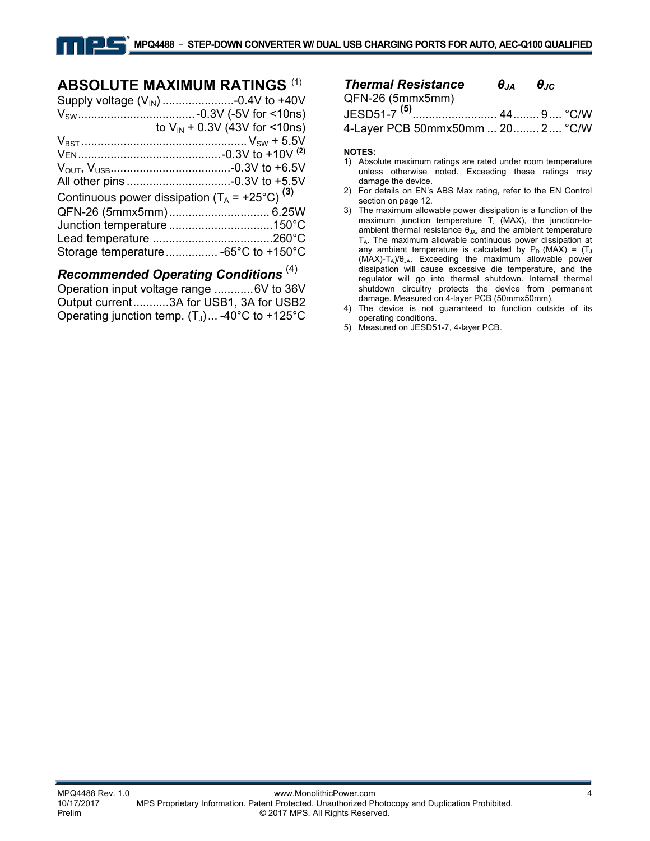### **ABSOLUTE MAXIMUM RATINGS** (1)

|                                                           | to $V_{IN}$ + 0.3V (43V for <10ns) |
|-----------------------------------------------------------|------------------------------------|
|                                                           |                                    |
|                                                           |                                    |
|                                                           |                                    |
|                                                           |                                    |
| Continuous power dissipation $(T_A = +25^{\circ}C)^{(3)}$ |                                    |
|                                                           |                                    |
|                                                           |                                    |
|                                                           |                                    |
|                                                           |                                    |
|                                                           |                                    |

### *Recommended Operating Conditions* (4)

Operation input voltage range ............ 6V to 36V Output current ........... 3A for USB1, 3A for USB2 Operating junction temp.  $(T_J)$ ... -40°C to +125°C

| <b>Thermal Resistance</b>        | $\theta_{\text{JA}}$ $\theta_{\text{JC}}$ |  |
|----------------------------------|-------------------------------------------|--|
| QFN-26 (5mmx5mm)                 |                                           |  |
|                                  |                                           |  |
| 4-Layer PCB 50mmx50mm  20 2 °C/W |                                           |  |

#### **NOTES:**

- 1) Absolute maximum ratings are rated under room temperature unless otherwise noted. Exceeding these ratings may damage the device.
- 2) For details on EN's ABS Max rating, refer to the EN Control section on page 12.
- 3) The maximum allowable power dissipation is a function of the maximum junction temperature  $T_J$  (MAX), the junction-toambient thermal resistance  $\theta_{JA}$ , and the ambient temperature TA. The maximum allowable continuous power dissipation at any ambient temperature is calculated by  $P_D$  (MAX) = (T<sub>J</sub> (MAX)-TA)/θJA. Exceeding the maximum allowable power dissipation will cause excessive die temperature, and the regulator will go into thermal shutdown. Internal thermal shutdown circuitry protects the device from permanent damage. Measured on 4-layer PCB (50mmx50mm).
- 4) The device is not guaranteed to function outside of its operating conditions.
- 5) Measured on JESD51-7, 4-layer PCB.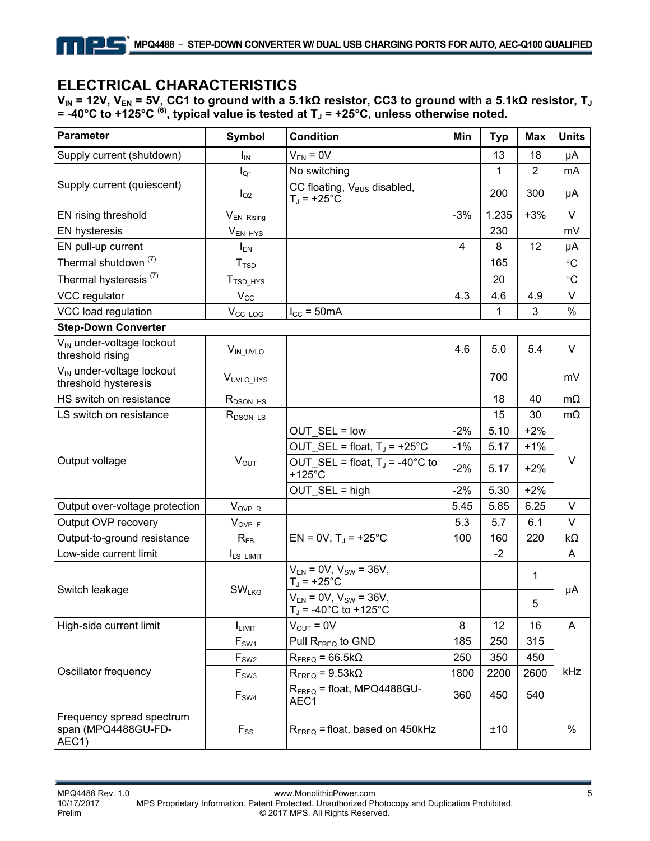# **ELECTRICAL CHARACTERISTICS**

크도

**VIN = 12V, VEN = 5V, CC1 to ground with a 5.1kΩ resistor, CC3 to ground with a 5.1kΩ resistor, TJ** = -40°C to +125°C <sup>(6)</sup>, typical value is tested at T」 = +25°C, unless otherwise noted.

| <b>Parameter</b>                                                       | <b>Symbol</b>               | <b>Condition</b>                                                   | Min            | <b>Typ</b> | Max            | <b>Units</b>    |  |
|------------------------------------------------------------------------|-----------------------------|--------------------------------------------------------------------|----------------|------------|----------------|-----------------|--|
| Supply current (shutdown)                                              | $I_{IN}$                    | $V_{EN} = 0V$                                                      |                | 13         | 18             | μA              |  |
|                                                                        | $I_{Q1}$                    | No switching                                                       |                | 1          | $\overline{2}$ | mA              |  |
| Supply current (quiescent)                                             | $I_{Q2}$                    | CC floating, V <sub>BUS</sub> disabled,<br>$T_J = +25$ °C          |                | 200        | 300            | μA              |  |
| EN rising threshold                                                    | V <sub>EN</sub> Rising      |                                                                    | $-3%$          | 1.235      | $+3%$          | $\vee$          |  |
| <b>EN hysteresis</b>                                                   | $V_{EN HYS}$                |                                                                    |                | 230        |                | mV              |  |
| EN pull-up current                                                     | $I_{EN}$                    |                                                                    | $\overline{4}$ | 8          | 12             | μA              |  |
| Thermal shutdown <sup>(7)</sup>                                        | T <sub>TSD</sub>            |                                                                    |                | 165        |                | $\rm ^{\circ}C$ |  |
| Thermal hysteresis <sup>(7)</sup>                                      | $TTSD_HYS$                  |                                                                    |                | 20         |                | $\circ$ C       |  |
| VCC regulator                                                          | $V_{\rm CC}$                |                                                                    | 4.3            | 4.6        | 4.9            | V               |  |
| VCC load regulation                                                    | V <sub>CC</sub> LOG         | $I_{CC}$ = 50mA                                                    |                | 1          | 3              | %               |  |
| <b>Step-Down Converter</b>                                             |                             |                                                                    |                |            |                |                 |  |
| V <sub>IN</sub> under-voltage lockout<br>threshold rising              | V <sub>IN_UVLO</sub>        |                                                                    | 4.6            | 5.0        | 5.4            | V               |  |
| V <sub>IN</sub> under-voltage lockout<br>threshold hysteresis          | V <sub>UVLO_HYS</sub>       |                                                                    |                | 700        |                | mV              |  |
| HS switch on resistance                                                | R <sub>DSON</sub> HS        |                                                                    |                | 18         | 40             | $m\Omega$       |  |
| LS switch on resistance                                                | $R_{DSON}$ LS               |                                                                    |                | 15         | 30             | $m\Omega$       |  |
|                                                                        |                             | OUT SEL = low                                                      | $-2%$          | 5.10       | $+2%$          |                 |  |
|                                                                        |                             | OUT_SEL = float, $T_J$ = +25°C                                     | $-1%$          | 5.17       | $+1%$          |                 |  |
| Output voltage                                                         | $V_{OUT}$                   | OUT SEL = float, $T_J$ = -40°C to<br>$+125^{\circ}$ C              | $-2%$          | 5.17       | $+2%$          | $\vee$          |  |
|                                                                        |                             | OUT_SEL = high                                                     | $-2%$          | 5.30       | $+2%$          |                 |  |
| Output over-voltage protection                                         | $V_{\text{OVP R}}$          |                                                                    | 5.45           | 5.85       | 6.25           | V               |  |
| Output OVP recovery                                                    | $V_{\text{OVP F}}$          |                                                                    | 5.3            | 5.7        | 6.1            | $\vee$          |  |
| Output-to-ground resistance                                            | $R_{FB}$                    | $EN = 0V$ , $TJ = +25^{\circ}C$                                    | 100            | 160        | 220            | kΩ              |  |
| Low-side current limit                                                 | I <sub>LS LIMIT</sub>       |                                                                    |                | $-2$       |                | A               |  |
|                                                                        |                             | $V_{EN} = 0V$ , $V_{SW} = 36V$ ,<br>$T_J = +25$ °C                 |                |            | 1              |                 |  |
| Switch leakage                                                         | <b>SW<sub>LKG</sub></b>     | $V_{EN} = 0V$ , $V_{SW} = 36V$ ,<br>$T_J = -40^{\circ}C$ to +125°C |                |            | 5              | μA              |  |
| High-side current limit                                                | I <sub>LIMIT</sub>          | $V_{OUT} = 0V$                                                     | 8              | 12         | 16             | A               |  |
|                                                                        | $\mathsf{F}_{\mathsf{SW1}}$ | Pull R <sub>FREQ</sub> to GND                                      | 185            | 250        | 315            |                 |  |
|                                                                        | $\mathsf{F}_{\mathsf{SW2}}$ | $R_{\text{FREQ}}$ = 66.5k $\Omega$                                 | 250            | 350        | 450            | kHz             |  |
| Oscillator frequency                                                   | $F_{SW3}$                   | $R_{\text{FREQ}} = 9.53 k\Omega$                                   | 1800           | 2200       | 2600           |                 |  |
|                                                                        | $F_{SW4}$                   | $R_{\text{FREO}}$ = float, MPQ4488GU-<br>AEC1                      | 360            | 450        | 540            |                 |  |
| Frequency spread spectrum<br>span (MPQ4488GU-FD-<br>AEC <sub>1</sub> ) | $F_{SS}$                    | $R_{\text{FREQ}}$ = float, based on 450kHz                         |                | ±10        |                | $\%$            |  |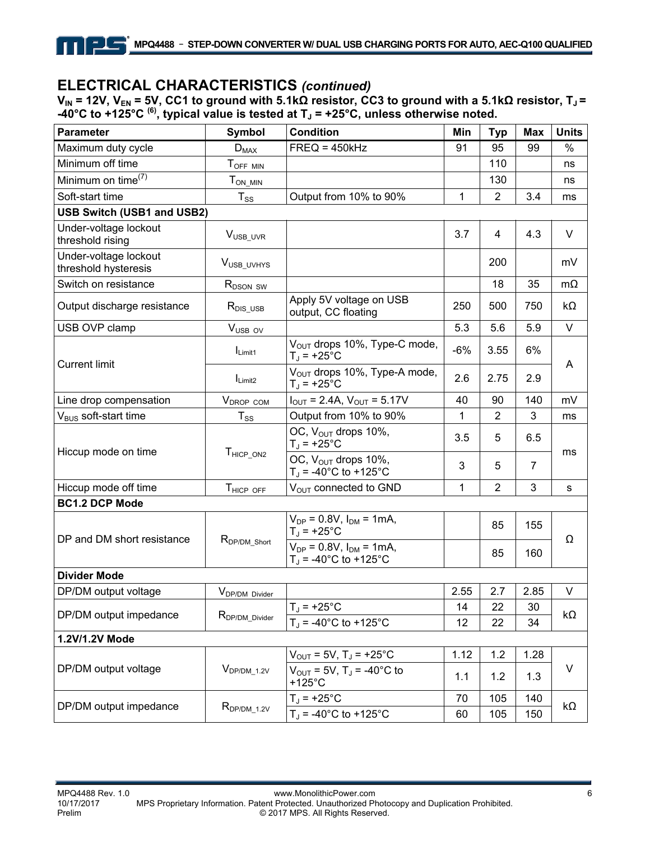### **ELECTRICAL CHARACTERISTICS** *(continued)*

**V<sub>IN</sub> = 12V, V<sub>EN</sub> = 5V, CC1 to ground with 5.1kΩ resistor, CC3 to ground with a 5.1kΩ resistor, T」=** -40°C to +125°C  $^{(6)}$ , typical value is tested at T<sub>J</sub> = +25°C, unless otherwise noted.

| <b>Parameter</b>                              | <b>Symbol</b>              | <b>Condition</b>                                                      | Min   | <b>Typ</b>     | <b>Max</b>     | <b>Units</b> |
|-----------------------------------------------|----------------------------|-----------------------------------------------------------------------|-------|----------------|----------------|--------------|
| Maximum duty cycle                            | $D_{MAX}$                  | $FREQ = 450kHz$                                                       | 91    | 95             | 99             | $\%$         |
| Minimum off time                              | TOFF MIN                   |                                                                       |       | 110            |                | ns           |
| Minimum on time <sup>(7)</sup>                | $T_{ON\_MIN}$              |                                                                       |       | 130            |                | ns           |
| Soft-start time                               | $T_{SS}$                   | Output from 10% to 90%                                                | 1     | $\overline{2}$ | 3.4            | ms           |
| <b>USB Switch (USB1 and USB2)</b>             |                            |                                                                       |       |                |                |              |
| Under-voltage lockout<br>threshold rising     | V <sub>USB_UVR</sub>       |                                                                       | 3.7   | 4              | 4.3            | V            |
| Under-voltage lockout<br>threshold hysteresis | V <sub>USB</sub> UVHYS     |                                                                       |       | 200            |                | mV           |
| Switch on resistance                          | R <sub>DSON</sub> SW       |                                                                       |       | 18             | 35             | $m\Omega$    |
| Output discharge resistance                   | $R_{DIS\_USE}$             | Apply 5V voltage on USB<br>output, CC floating                        | 250   | 500            | 750            | kΩ           |
| USB OVP clamp                                 | $V_{\text{USB OV}}$        |                                                                       | 5.3   | 5.6            | 5.9            | $\vee$       |
|                                               | $I_{Limit1}$               | V <sub>OUT</sub> drops 10%, Type-C mode,<br>$T_{\rm J}$ = +25°C       | $-6%$ | 3.55           | 6%             |              |
| <b>Current limit</b>                          | $I_{Limit2}$               | V <sub>OUT</sub> drops 10%, Type-A mode,<br>$T_1$ = +25°C             | 2.6   | 2.75           | 2.9            | A            |
| Line drop compensation                        | V <sub>DROP</sub> COM      | $I_{\text{OUT}} = 2.4A$ , $V_{\text{OUT}} = 5.17V$                    | 40    | 90             | 140            | mV           |
| V <sub>BUS</sub> soft-start time              | $T_{SS}$                   | Output from 10% to 90%                                                | 1     | $\overline{2}$ | 3              | ms           |
|                                               | T <sub>HICP_ON2</sub>      | OC, V <sub>OUT</sub> drops 10%,<br>$T_J = +25$ °C                     | 3.5   | 5              | 6.5            | ms           |
| Hiccup mode on time                           |                            | OC, V <sub>OUT</sub> drops 10%,<br>$T_J = -40^{\circ}C$ to +125°C     | 3     | 5              | $\overline{7}$ |              |
| Hiccup mode off time                          | THICP OFF                  | V <sub>OUT</sub> connected to GND                                     | 1     | $\overline{2}$ | 3              | s            |
| <b>BC1.2 DCP Mode</b>                         |                            |                                                                       |       |                |                |              |
| DP and DM short resistance                    | R <sub>DP/DM_Short</sub>   | $V_{DP} = 0.8V$ , $I_{DM} = 1mA$ ,<br>$T_J$ = +25°C                   |       | 85             | 155            | Ω            |
|                                               |                            | $V_{DP} = 0.8V$ , $I_{DM} = 1mA$ ,<br>$T_{\rm d}$ = -40°C to +125°C   |       | 85             | 160            |              |
| <b>Divider Mode</b>                           |                            |                                                                       |       |                |                |              |
| DP/DM output voltage                          | V <sub>DP/DM</sub> Divider |                                                                       | 2.55  | 2.7            | 2.85           | V            |
| DP/DM output impedance                        |                            | $T_J$ = +25°C                                                         | 14    | 22             | 30             | $k\Omega$    |
|                                               | R <sub>DP/DM_Divider</sub> | $T_J = -40^{\circ}C$ to $+125^{\circ}C$                               | 12    | 22             | 34             |              |
| 1.2V/1.2V Mode                                |                            |                                                                       |       |                |                |              |
|                                               |                            | $V_{\text{OUT}} = 5V$ , T <sub>J</sub> = +25 <sup>°</sup> C           | 1.12  | 1.2            | 1.28           | $\vee$       |
| DP/DM output voltage                          | $V_{DP/DM 1.2V}$           | $V_{\text{OUT}} = 5V$ , T <sub>J</sub> = -40°C to<br>$+125^{\circ}$ C | 1.1   | 1.2            | 1.3            |              |
| DP/DM output impedance                        |                            | $T_{\rm J}$ = +25°C                                                   | 70    | 105            | 140            |              |
|                                               | $R_{DP/DM_1.2V}$           | $T_J = -40^{\circ}C$ to $+125^{\circ}C$                               | 60    | 105            | 150            | $k\Omega$    |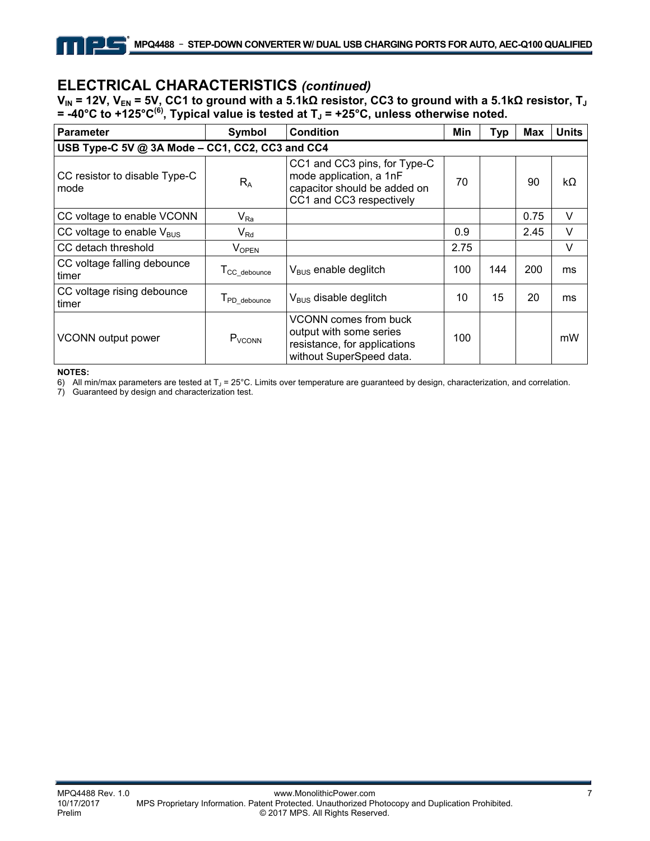### **ELECTRICAL CHARACTERISTICS** *(continued)*

**VIN = 12V, VEN = 5V, CC1 to ground with a 5.1kΩ resistor, CC3 to ground with a 5.1kΩ resistor, TJ** = -40°C to +125°C<sup>(6)</sup>, Typical value is tested at T」 = +25°C, unless otherwise noted.

| <b>Parameter</b>                                | Symbol                   | <b>Condition</b>                                                                                                    | Min  | <b>Typ</b> | <b>Max</b> | <b>Units</b> |  |  |
|-------------------------------------------------|--------------------------|---------------------------------------------------------------------------------------------------------------------|------|------------|------------|--------------|--|--|
| USB Type-C 5V @ 3A Mode - CC1, CC2, CC3 and CC4 |                          |                                                                                                                     |      |            |            |              |  |  |
| CC resistor to disable Type-C<br>mode           | $R_{A}$                  | CC1 and CC3 pins, for Type-C<br>mode application, a 1nF<br>capacitor should be added on<br>CC1 and CC3 respectively | 70   |            | 90         | kΩ           |  |  |
| CC voltage to enable VCONN                      | $V_{Ra}$                 |                                                                                                                     |      |            | 0.75       | V            |  |  |
| CC voltage to enable $V_{\text{BUS}}$           | $V_{Rd}$                 |                                                                                                                     | 0.9  |            | 2.45       | V            |  |  |
| CC detach threshold                             | <b>VOPEN</b>             |                                                                                                                     | 2.75 |            |            | $\vee$       |  |  |
| CC voltage falling debounce<br>timer            | T <sub>CC_debounce</sub> | $V_{BUS}$ enable deglitch                                                                                           | 100  | 144        | 200        | ms           |  |  |
| CC voltage rising debounce<br>timer             | T <sub>PD_debounce</sub> | $V_{BUS}$ disable deglitch                                                                                          | 10   | 15         | 20         | ms           |  |  |
| VCONN output power                              | P <sub>VCONN</sub>       | VCONN comes from buck<br>output with some series<br>resistance, for applications<br>without SuperSpeed data.        | 100  |            |            | mW           |  |  |

**NOTES:** 

6) All min/max parameters are tested at T<sub>J</sub> = 25°C. Limits over temperature are guaranteed by design, characterization, and correlation.

7) Guaranteed by design and characterization test.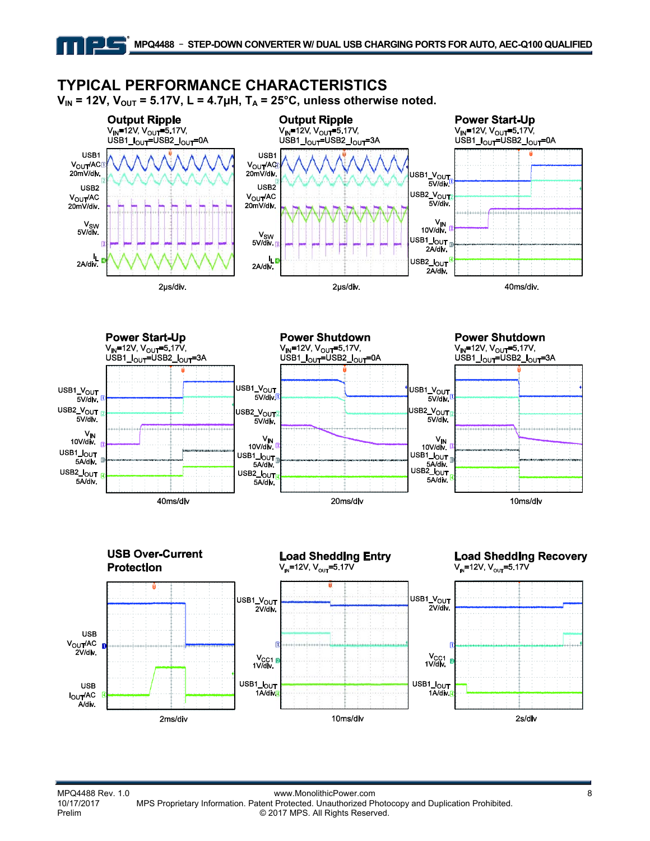### **TYPICAL PERFORMANCE CHARACTERISTICS**

크나트

 $V_{IN}$  = 12V,  $V_{OUT}$  = 5.17V, L = 4.7µH, T<sub>A</sub> = 25°C, unless otherwise noted.







MPQ4488 Rev. 1.0 www.MonolithicPower.com<br>10/17/2017 MPS Proprietary Information. Patent Protected. Unauthorized Photocopy and Duplication Prohibited. 10/17/2017 MPS Proprietary Information. Patent Protected. Unauthorized Photocopy and Duplication Prohibited. © 2017 MPS. All Rights Reserved.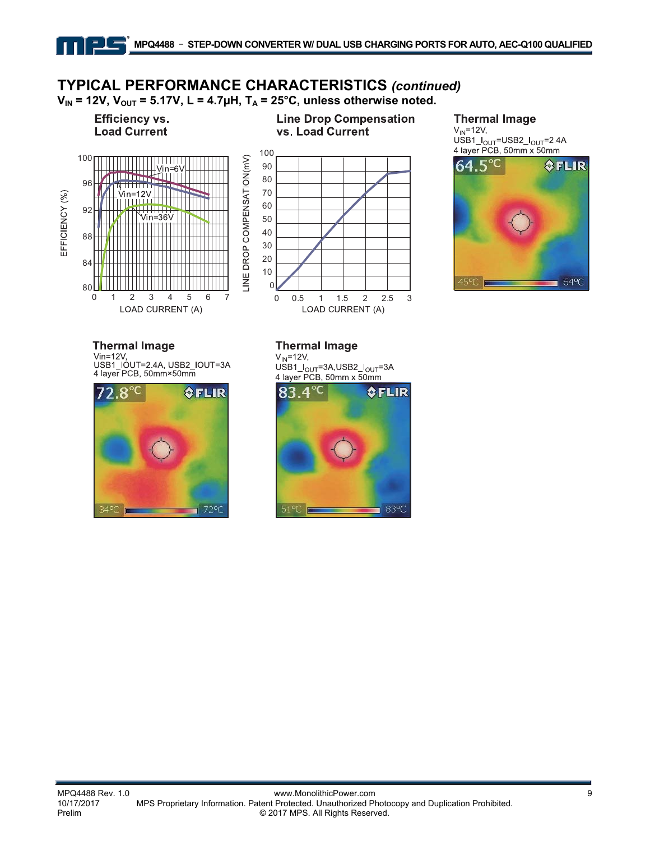# **TYPICAL PERFORMANCE CHARACTERISTICS** *(continued)*

 $V_{IN}$  = 12V,  $V_{OUT}$  = 5.17V, L = 4.7 $\mu$ H, T<sub>A</sub> = 25°C, unless otherwise noted.

LINE DROP COMPENSATION(mV)



90∐<br>0



### **Thermal Image**

 $V_{IN}$ =12V,  $USB1$ <sub>OUT</sub>=USB2<sub>- $I_{OUT}$ </sub>=2.4A<br>4 layer PCB, 50mm x 50mm



**Thermal Image** Vin=12V, USB1\_IOUT=2.4A, USB2\_IOUT=3A<br>4 layer PCB, 50mm×50mm

01234567

LOAD CURRENT (A)



#### **Thermal Image**

 $V_{IN}$ =12 $V$ , USB1\_ $I_{OUT}$ =3A,USB2\_ $I_{OUT}$ =3A<br>4 layer PCB, 50mm x 50mm

0 0.5 1 1.5 2 2.5 3

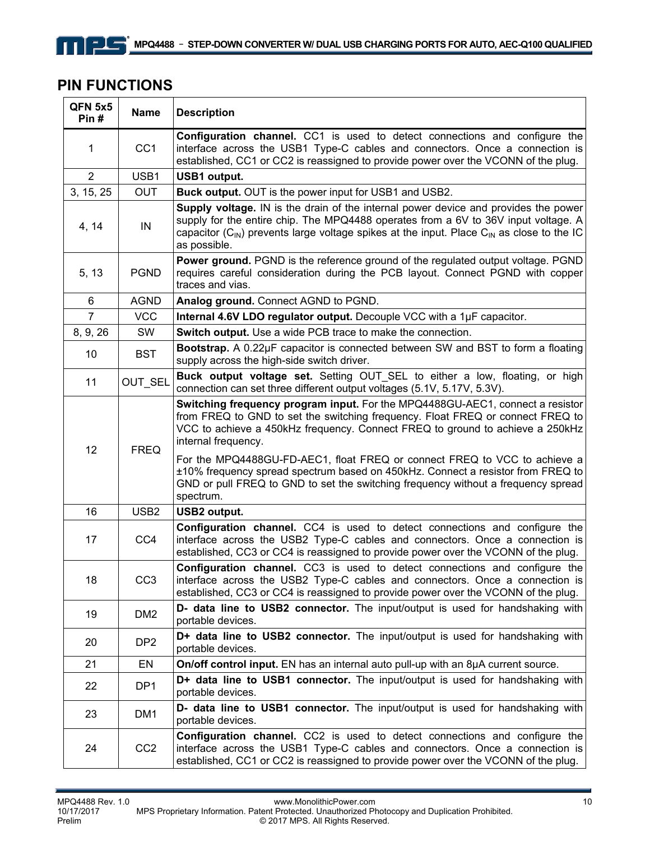### **PIN FUNCTIONS**

| QFN 5x5<br>Pin# | <b>Name</b>                                                                                                                                                                                                                                                                                                                                          | <b>Description</b>                                                                                                                                                                                                                                                                                            |  |  |  |  |  |
|-----------------|------------------------------------------------------------------------------------------------------------------------------------------------------------------------------------------------------------------------------------------------------------------------------------------------------------------------------------------------------|---------------------------------------------------------------------------------------------------------------------------------------------------------------------------------------------------------------------------------------------------------------------------------------------------------------|--|--|--|--|--|
| 1               | CC <sub>1</sub>                                                                                                                                                                                                                                                                                                                                      | <b>Configuration channel.</b> CC1 is used to detect connections and configure the<br>interface across the USB1 Type-C cables and connectors. Once a connection is<br>established, CC1 or CC2 is reassigned to provide power over the VCONN of the plug.                                                       |  |  |  |  |  |
| $\overline{2}$  | USB1                                                                                                                                                                                                                                                                                                                                                 | <b>USB1</b> output.                                                                                                                                                                                                                                                                                           |  |  |  |  |  |
| 3, 15, 25       | <b>OUT</b>                                                                                                                                                                                                                                                                                                                                           | <b>Buck output.</b> OUT is the power input for USB1 and USB2.                                                                                                                                                                                                                                                 |  |  |  |  |  |
| 4, 14           | IN                                                                                                                                                                                                                                                                                                                                                   | Supply voltage. IN is the drain of the internal power device and provides the power<br>supply for the entire chip. The MPQ4488 operates from a 6V to 36V input voltage. A<br>capacitor $(C_{\text{IN}})$ prevents large voltage spikes at the input. Place $C_{\text{IN}}$ as close to the IC<br>as possible. |  |  |  |  |  |
| 5, 13           | <b>PGND</b>                                                                                                                                                                                                                                                                                                                                          | <b>Power ground.</b> PGND is the reference ground of the regulated output voltage. PGND<br>requires careful consideration during the PCB layout. Connect PGND with copper<br>traces and vias.                                                                                                                 |  |  |  |  |  |
| 6               | <b>AGND</b>                                                                                                                                                                                                                                                                                                                                          | Analog ground. Connect AGND to PGND.                                                                                                                                                                                                                                                                          |  |  |  |  |  |
| $\overline{7}$  | <b>VCC</b>                                                                                                                                                                                                                                                                                                                                           | Internal 4.6V LDO regulator output. Decouple VCC with a 1µF capacitor.                                                                                                                                                                                                                                        |  |  |  |  |  |
| 8, 9, 26        | SW                                                                                                                                                                                                                                                                                                                                                   | Switch output. Use a wide PCB trace to make the connection.                                                                                                                                                                                                                                                   |  |  |  |  |  |
| 10              | <b>BST</b>                                                                                                                                                                                                                                                                                                                                           | Bootstrap. A 0.22µF capacitor is connected between SW and BST to form a floating<br>supply across the high-side switch driver.                                                                                                                                                                                |  |  |  |  |  |
| 11              | OUT_SEL                                                                                                                                                                                                                                                                                                                                              | Buck output voltage set. Setting OUT SEL to either a low, floating, or high<br>connection can set three different output voltages (5.1V, 5.17V, 5.3V).                                                                                                                                                        |  |  |  |  |  |
| 12              | Switching frequency program input. For the MPQ4488GU-AEC1, connect a resistor<br>from FREQ to GND to set the switching frequency. Float FREQ or connect FREQ to<br>VCC to achieve a 450kHz frequency. Connect FREQ to ground to achieve a 250kHz<br>internal frequency.<br>For the MPQ4488GU-FD-AEC1, float FREQ or connect FREQ to VCC to achieve a |                                                                                                                                                                                                                                                                                                               |  |  |  |  |  |
|                 |                                                                                                                                                                                                                                                                                                                                                      | ±10% frequency spread spectrum based on 450kHz. Connect a resistor from FREQ to<br>GND or pull FREQ to GND to set the switching frequency without a frequency spread<br>spectrum.                                                                                                                             |  |  |  |  |  |
| 16              | USB <sub>2</sub>                                                                                                                                                                                                                                                                                                                                     | <b>USB2 output.</b>                                                                                                                                                                                                                                                                                           |  |  |  |  |  |
| 17              | CC4                                                                                                                                                                                                                                                                                                                                                  | <b>Configuration channel.</b> CC4 is used to detect connections and configure the<br>interface across the USB2 Type-C cables and connectors. Once a connection is<br>established, CC3 or CC4 is reassigned to provide power over the VCONN of the plug.                                                       |  |  |  |  |  |
| 18              | CC <sub>3</sub>                                                                                                                                                                                                                                                                                                                                      | Configuration channel. CC3 is used to detect connections and configure the<br>interface across the USB2 Type-C cables and connectors. Once a connection is<br>established, CC3 or CC4 is reassigned to provide power over the VCONN of the plug.                                                              |  |  |  |  |  |
| 19              | DM <sub>2</sub>                                                                                                                                                                                                                                                                                                                                      | D- data line to USB2 connector. The input/output is used for handshaking with<br>portable devices.                                                                                                                                                                                                            |  |  |  |  |  |
| 20              | DP <sub>2</sub>                                                                                                                                                                                                                                                                                                                                      | D+ data line to USB2 connector. The input/output is used for handshaking with<br>portable devices.                                                                                                                                                                                                            |  |  |  |  |  |
| 21              | EN                                                                                                                                                                                                                                                                                                                                                   | On/off control input. EN has an internal auto pull-up with an 8µA current source.                                                                                                                                                                                                                             |  |  |  |  |  |
| 22              | DP <sub>1</sub>                                                                                                                                                                                                                                                                                                                                      | D+ data line to USB1 connector. The input/output is used for handshaking with<br>portable devices.                                                                                                                                                                                                            |  |  |  |  |  |
| 23              | DM <sub>1</sub>                                                                                                                                                                                                                                                                                                                                      | D- data line to USB1 connector. The input/output is used for handshaking with<br>portable devices.                                                                                                                                                                                                            |  |  |  |  |  |
| 24              | CC <sub>2</sub>                                                                                                                                                                                                                                                                                                                                      | <b>Configuration channel.</b> CC2 is used to detect connections and configure the<br>interface across the USB1 Type-C cables and connectors. Once a connection is<br>established, CC1 or CC2 is reassigned to provide power over the VCONN of the plug.                                                       |  |  |  |  |  |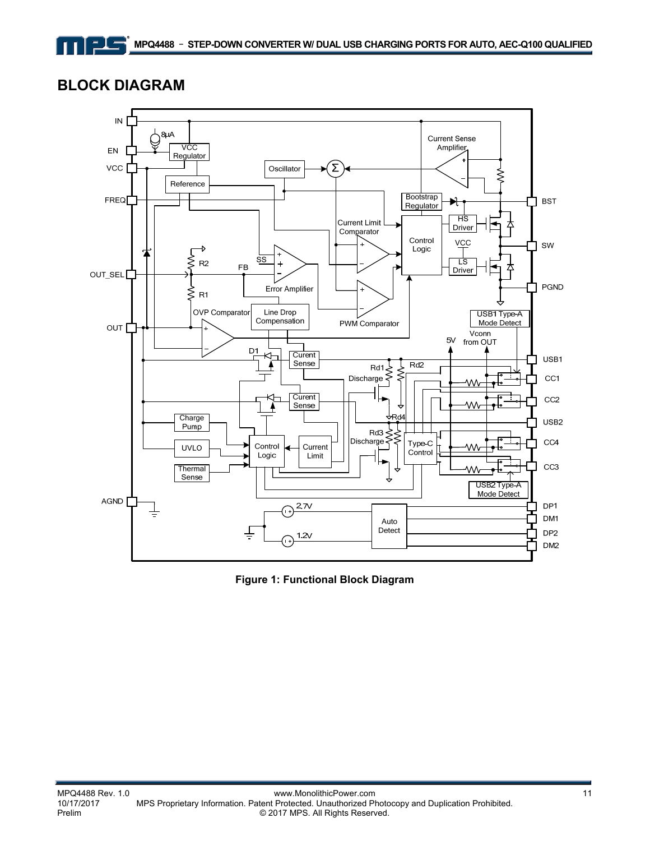### **BLOCK DIAGRAM**

コノー



**Figure 1: Functional Block Diagram**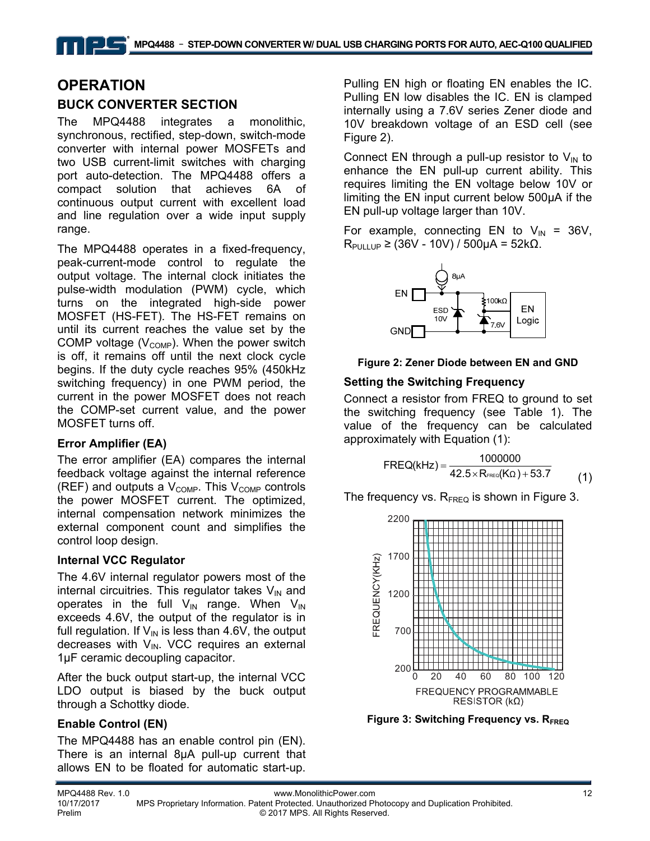### **OPERATION BUCK CONVERTER SECTION**

The MPQ4488 integrates a monolithic, synchronous, rectified, step-down, switch-mode converter with internal power MOSFETs and two USB current-limit switches with charging port auto-detection. The MPQ4488 offers a compact solution that achieves 6A of continuous output current with excellent load and line regulation over a wide input supply range.

The MPQ4488 operates in a fixed-frequency, peak-current-mode control to regulate the output voltage. The internal clock initiates the pulse-width modulation (PWM) cycle, which turns on the integrated high-side power MOSFET (HS-FET). The HS-FET remains on until its current reaches the value set by the COMP voltage  $(V_{\text{COMP}})$ . When the power switch is off, it remains off until the next clock cycle begins. If the duty cycle reaches 95% (450kHz switching frequency) in one PWM period, the current in the power MOSFET does not reach the COMP-set current value, and the power MOSFET turns off.

#### **Error Amplifier (EA)**

The error amplifier (EA) compares the internal feedback voltage against the internal reference (REF) and outputs a  $V_{\text{COMP}}$ . This  $V_{\text{COMP}}$  controls the power MOSFET current. The optimized, internal compensation network minimizes the external component count and simplifies the control loop design.

#### **Internal VCC Regulator**

The 4.6V internal regulator powers most of the internal circuitries. This regulator takes  $V_{IN}$  and operates in the full  $V_{IN}$  range. When  $V_{IN}$ exceeds 4.6V, the output of the regulator is in full regulation. If  $V_{\text{IN}}$  is less than 4.6V, the output decreases with  $V_{IN}$ . VCC requires an external 1µF ceramic decoupling capacitor.

After the buck output start-up, the internal VCC LDO output is biased by the buck output through a Schottky diode.

### **Enable Control (EN)**

The MPQ4488 has an enable control pin (EN). There is an internal 8µA pull-up current that allows EN to be floated for automatic start-up.

Pulling EN high or floating EN enables the IC. Pulling EN low disables the IC. EN is clamped internally using a 7.6V series Zener diode and 10V breakdown voltage of an ESD cell (see Figure 2).

Connect EN through a pull-up resistor to  $V_{IN}$  to enhance the EN pull-up current ability. This requires limiting the EN voltage below 10V or limiting the EN input current below 500μA if the EN pull-up voltage larger than 10V.

For example, connecting EN to  $V_{IN}$  = 36V,  $R_{PULLUP}$  ≥ (36V - 10V) / 500μA = 52kΩ.



**Figure 2: Zener Diode between EN and GND**

#### **Setting the Switching Frequency**

Connect a resistor from FREQ to ground to set the switching frequency (see Table 1). The value of the frequency can be calculated approximately with Equation (1):

$$
FREQ(kHz) = \frac{1000000}{42.5 \times R_{\text{free}}(K\Omega) + 53.7}
$$
 (1)

The frequency vs.  $R_{FREQ}$  is shown in Figure 3.



**Figure 3: Switching Frequency vs. RFREQ**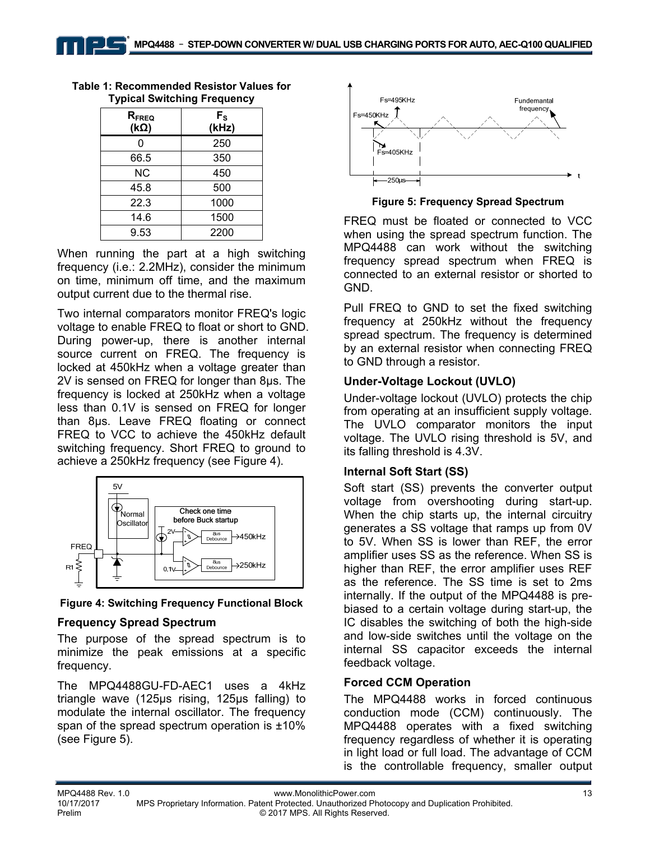| $R_{\text{FREQ}}$<br>$(k\Omega)$ | $F_{S}$<br>(kHz) |
|----------------------------------|------------------|
| ი                                | 250              |
| 66.5                             | 350              |
| <b>NC</b>                        | 450              |
| 45.8                             | 500              |
| 22.3                             | 1000             |
| 14.6                             | 1500             |
| 9.53                             | 2200             |

**Table 1: Recommended Resistor Values for Typical Switching Frequency** 

When running the part at a high switching frequency (i.e.: 2.2MHz), consider the minimum on time, minimum off time, and the maximum output current due to the thermal rise.

Two internal comparators monitor FREQ's logic voltage to enable FREQ to float or short to GND. During power-up, there is another internal source current on FREQ. The frequency is locked at 450kHz when a voltage greater than 2V is sensed on FREQ for longer than 8µs. The frequency is locked at 250kHz when a voltage less than 0.1V is sensed on FREQ for longer than 8µs. Leave FREQ floating or connect FREQ to VCC to achieve the 450kHz default switching frequency. Short FREQ to ground to achieve a 250kHz frequency (see Figure 4).



**Figure 4: Switching Frequency Functional Block**

#### **Frequency Spread Spectrum**

The purpose of the spread spectrum is to minimize the peak emissions at a specific frequency.

The MPQ4488GU-FD-AEC1 uses a 4kHz triangle wave (125μs rising, 125μs falling) to modulate the internal oscillator. The frequency span of the spread spectrum operation is ±10% (see Figure 5).



**Figure 5: Frequency Spread Spectrum** 

FREQ must be floated or connected to VCC when using the spread spectrum function. The MPQ4488 can work without the switching frequency spread spectrum when FREQ is connected to an external resistor or shorted to GND.

Pull FREQ to GND to set the fixed switching frequency at 250kHz without the frequency spread spectrum. The frequency is determined by an external resistor when connecting FREQ to GND through a resistor.

#### **Under-Voltage Lockout (UVLO)**

Under-voltage lockout (UVLO) protects the chip from operating at an insufficient supply voltage. The UVLO comparator monitors the input voltage. The UVLO rising threshold is 5V, and its falling threshold is 4.3V.

#### **Internal Soft Start (SS)**

Soft start (SS) prevents the converter output voltage from overshooting during start-up. When the chip starts up, the internal circuitry generates a SS voltage that ramps up from 0V to 5V. When SS is lower than REF, the error amplifier uses SS as the reference. When SS is higher than REF, the error amplifier uses REF as the reference. The SS time is set to 2ms internally. If the output of the MPQ4488 is prebiased to a certain voltage during start-up, the IC disables the switching of both the high-side and low-side switches until the voltage on the internal SS capacitor exceeds the internal feedback voltage.

#### **Forced CCM Operation**

The MPQ4488 works in forced continuous conduction mode (CCM) continuously. The MPQ4488 operates with a fixed switching frequency regardless of whether it is operating in light load or full load. The advantage of CCM is the controllable frequency, smaller output

10/17/2017 MPS Proprietary Information. Patent Protected. Unauthorized Photocopy and Duplication Prohibited. Prelim © 2017 MPS. All Rights Reserved.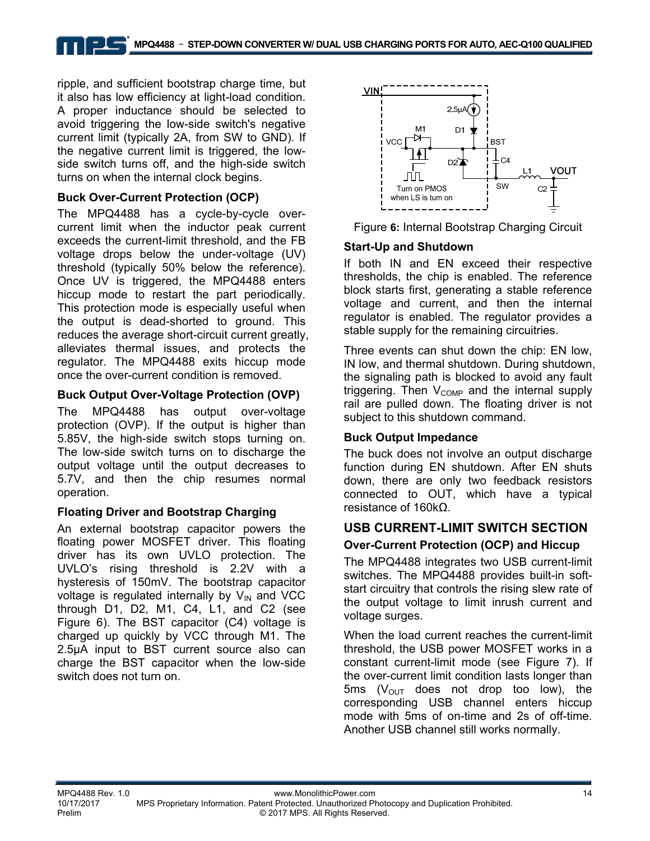ripple, and sufficient bootstrap charge time, but it also has low efficiency at light-load condition. A proper inductance should be selected to avoid triggering the low-side switch's negative current limit (typically 2A, from SW to GND). If the negative current limit is triggered, the lowside switch turns off, and the high-side switch turns on when the internal clock begins.

#### **Buck Over-Current Protection (OCP)**

The MPQ4488 has a cycle-by-cycle overcurrent limit when the inductor peak current exceeds the current-limit threshold, and the FB voltage drops below the under-voltage (UV) threshold (typically 50% below the reference). Once UV is triggered, the MPQ4488 enters hiccup mode to restart the part periodically. This protection mode is especially useful when the output is dead-shorted to ground. This reduces the average short-circuit current greatly, alleviates thermal issues, and protects the regulator. The MPQ4488 exits hiccup mode once the over-current condition is removed.

#### **Buck Output Over-Voltage Protection (OVP)**

The MPQ4488 has output over-voltage protection (OVP). If the output is higher than 5.85V, the high-side switch stops turning on. The low-side switch turns on to discharge the output voltage until the output decreases to 5.7V, and then the chip resumes normal operation.

#### **Floating Driver and Bootstrap Charging**

An external bootstrap capacitor powers the floating power MOSFET driver. This floating driver has its own UVLO protection. The UVLO's rising threshold is 2.2V with a hysteresis of 150mV. The bootstrap capacitor voltage is regulated internally by  $V_{IN}$  and VCC through D1, D2, M1, C4, L1, and C2 (see Figure 6). The BST capacitor (C4) voltage is charged up quickly by VCC through M1. The 2.5μA input to BST current source also can charge the BST capacitor when the low-side switch does not turn on.





#### **Start-Up and Shutdown**

If both IN and EN exceed their respective thresholds, the chip is enabled. The reference block starts first, generating a stable reference voltage and current, and then the internal regulator is enabled. The regulator provides a stable supply for the remaining circuitries.

Three events can shut down the chip: EN low, IN low, and thermal shutdown. During shutdown, the signaling path is blocked to avoid any fault triggering. Then  $V_{\text{COMP}}$  and the internal supply rail are pulled down. The floating driver is not subject to this shutdown command.

#### **Buck Output Impedance**

The buck does not involve an output discharge function during EN shutdown. After EN shuts down, there are only two feedback resistors connected to OUT, which have a typical resistance of 160kΩ.

# **USB CURRENT-LIMIT SWITCH SECTION**

### **Over-Current Protection (OCP) and Hiccup**

The MPQ4488 integrates two USB current-limit switches. The MPQ4488 provides built-in softstart circuitry that controls the rising slew rate of the output voltage to limit inrush current and voltage surges.

When the load current reaches the current-limit threshold, the USB power MOSFET works in a constant current-limit mode (see Figure 7). If the over-current limit condition lasts longer than 5ms ( $V_{\text{OUT}}$  does not drop too low), the corresponding USB channel enters hiccup mode with 5ms of on-time and 2s of off-time. Another USB channel still works normally.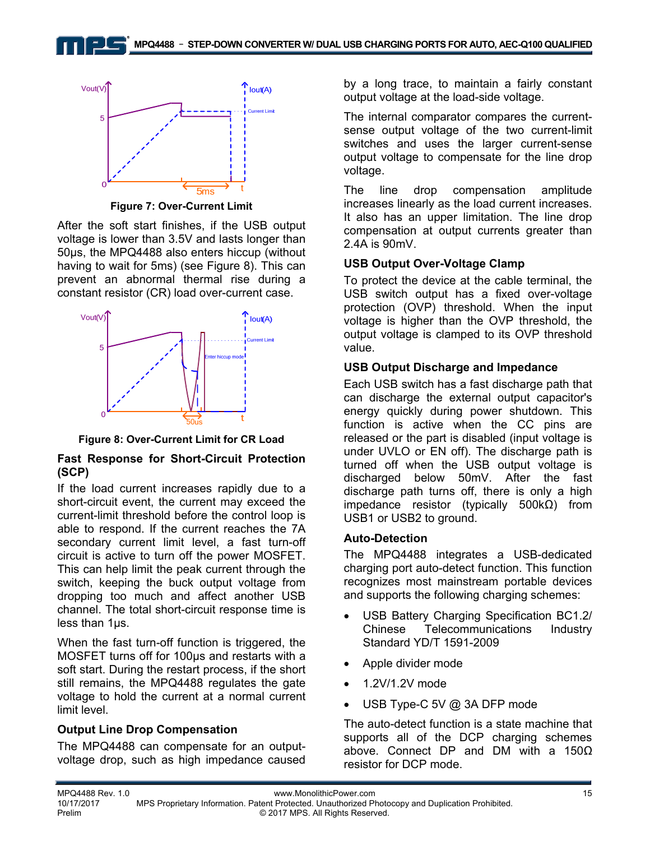

**Figure 7: Over-Current Limit**

After the soft start finishes, if the USB output voltage is lower than 3.5V and lasts longer than 50µs, the MPQ4488 also enters hiccup (without having to wait for 5ms) (see Figure 8). This can prevent an abnormal thermal rise during a constant resistor (CR) load over-current case.



**Figure 8: Over-Current Limit for CR Load**

#### **Fast Response for Short-Circuit Protection (SCP)**

If the load current increases rapidly due to a short-circuit event, the current may exceed the current-limit threshold before the control loop is able to respond. If the current reaches the 7A secondary current limit level, a fast turn-off circuit is active to turn off the power MOSFET. This can help limit the peak current through the switch, keeping the buck output voltage from dropping too much and affect another USB channel. The total short-circuit response time is less than 1µs.

When the fast turn-off function is triggered, the MOSFET turns off for 100µs and restarts with a soft start. During the restart process, if the short still remains, the MPQ4488 regulates the gate voltage to hold the current at a normal current limit level.

#### **Output Line Drop Compensation**

The MPQ4488 can compensate for an outputvoltage drop, such as high impedance caused by a long trace, to maintain a fairly constant output voltage at the load-side voltage.

The internal comparator compares the currentsense output voltage of the two current-limit switches and uses the larger current-sense output voltage to compensate for the line drop voltage.

The line drop compensation amplitude increases linearly as the load current increases. It also has an upper limitation. The line drop compensation at output currents greater than 2.4A is 90mV.

#### **USB Output Over-Voltage Clamp**

To protect the device at the cable terminal, the USB switch output has a fixed over-voltage protection (OVP) threshold. When the input voltage is higher than the OVP threshold, the output voltage is clamped to its OVP threshold value.

#### **USB Output Discharge and Impedance**

Each USB switch has a fast discharge path that can discharge the external output capacitor's energy quickly during power shutdown. This function is active when the CC pins are released or the part is disabled (input voltage is under UVLO or EN off). The discharge path is turned off when the USB output voltage is discharged below 50mV. After the fast discharge path turns off, there is only a high impedance resistor (typically 500kΩ) from USB1 or USB2 to ground.

#### **Auto-Detection**

The MPQ4488 integrates a USB-dedicated charging port auto-detect function. This function recognizes most mainstream portable devices and supports the following charging schemes:

- USB Battery Charging Specification BC1.2/ Chinese Telecommunications Industry Standard YD/T 1591-2009
- Apple divider mode
- 1.2V/1.2V mode
- USB Type-C 5V @ 3A DFP mode

The auto-detect function is a state machine that supports all of the DCP charging schemes above. Connect DP and DM with a 150Ω resistor for DCP mode.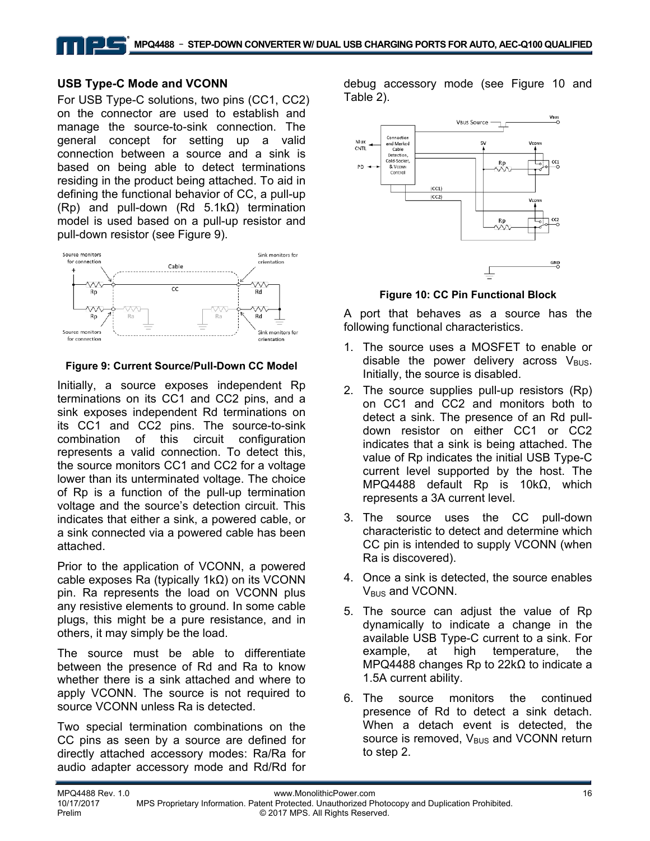#### **USB Type-C Mode and VCONN**

For USB Type-C solutions, two pins (CC1, CC2) on the connector are used to establish and manage the source-to-sink connection. The general concept for setting up a valid connection between a source and a sink is based on being able to detect terminations residing in the product being attached. To aid in defining the functional behavior of CC, a pull-up (Rp) and pull-down (Rd 5.1kΩ) termination model is used based on a pull-up resistor and pull-down resistor (see Figure 9).



#### **Figure 9: Current Source/Pull-Down CC Model**

Initially, a source exposes independent Rp terminations on its CC1 and CC2 pins, and a sink exposes independent Rd terminations on its CC1 and CC2 pins. The source-to-sink combination of this circuit configuration represents a valid connection. To detect this, the source monitors CC1 and CC2 for a voltage lower than its unterminated voltage. The choice of Rp is a function of the pull-up termination voltage and the source's detection circuit. This indicates that either a sink, a powered cable, or a sink connected via a powered cable has been attached.

Prior to the application of VCONN, a powered cable exposes Ra (typically 1kΩ) on its VCONN pin. Ra represents the load on VCONN plus any resistive elements to ground. In some cable plugs, this might be a pure resistance, and in others, it may simply be the load.

The source must be able to differentiate between the presence of Rd and Ra to know whether there is a sink attached and where to apply VCONN. The source is not required to source VCONN unless Ra is detected.

Two special termination combinations on the CC pins as seen by a source are defined for directly attached accessory modes: Ra/Ra for audio adapter accessory mode and Rd/Rd for debug accessory mode (see Figure 10 and Table 2).



#### **Figure 10: CC Pin Functional Block**

A port that behaves as a source has the following functional characteristics.

- 1. The source uses a MOSFET to enable or disable the power delivery across  $V_{\text{BUS}}$ . Initially, the source is disabled.
- 2. The source supplies pull-up resistors (Rp) on CC1 and CC2 and monitors both to detect a sink. The presence of an Rd pulldown resistor on either CC1 or CC2 indicates that a sink is being attached. The value of Rp indicates the initial USB Type-C current level supported by the host. The MPQ4488 default Rp is 10kΩ, which represents a 3A current level.
- 3. The source uses the CC pull-down characteristic to detect and determine which CC pin is intended to supply VCONN (when Ra is discovered).
- 4. Once a sink is detected, the source enables  $V_{BUS}$  and VCONN.
- 5. The source can adjust the value of Rp dynamically to indicate a change in the available USB Type-C current to a sink. For example, at high temperature, the MPQ4488 changes Rp to 22kΩ to indicate a 1.5A current ability.
- 6. The source monitors the continued presence of Rd to detect a sink detach. When a detach event is detected, the source is removed,  $V_{\text{BUS}}$  and VCONN return to step 2.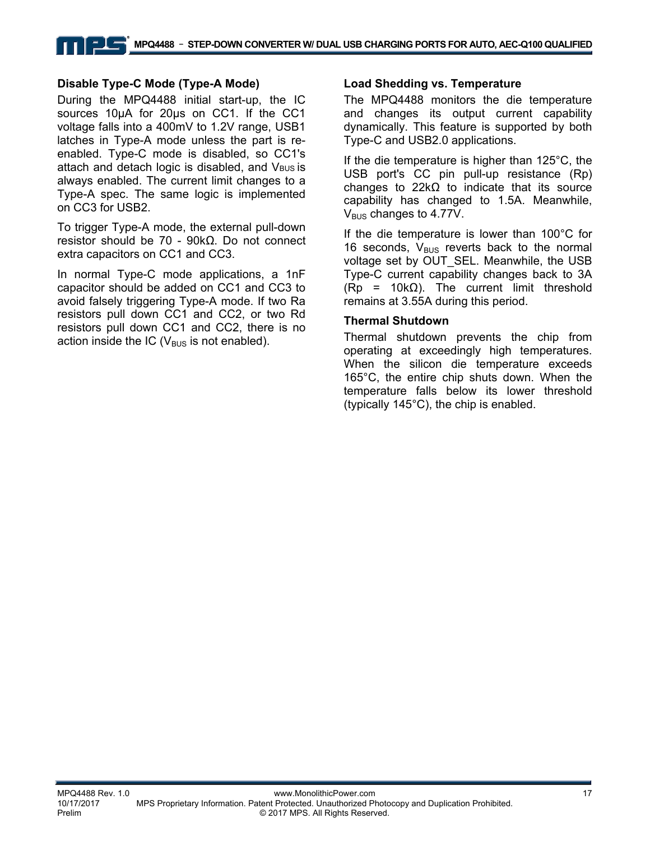#### ▗▕▏▆▟▆ **MPQ4488** – **STEP-DOWN CONVERTER W/ DUAL USB CHARGING PORTS FOR AUTO, AEC-Q100 QUALIFIED**

#### **Disable Type-C Mode (Type-A Mode)**

During the MPQ4488 initial start-up, the IC sources 10μA for 20μs on CC1. If the CC1 voltage falls into a 400mV to 1.2V range, USB1 latches in Type-A mode unless the part is reenabled. Type-C mode is disabled, so CC1's attach and detach logic is disabled, and  $V_{\text{BUS}}$  is always enabled. The current limit changes to a Type-A spec. The same logic is implemented on CC3 for USB2.

To trigger Type-A mode, the external pull-down resistor should be 70 - 90kΩ. Do not connect extra capacitors on CC1 and CC3.

In normal Type-C mode applications, a 1nF capacitor should be added on CC1 and CC3 to avoid falsely triggering Type-A mode. If two Ra resistors pull down CC1 and CC2, or two Rd resistors pull down CC1 and CC2, there is no action inside the IC ( $V_{\text{BUS}}$  is not enabled).

#### **Load Shedding vs. Temperature**

The MPQ4488 monitors the die temperature and changes its output current capability dynamically. This feature is supported by both Type-C and USB2.0 applications.

If the die temperature is higher than 125°C, the USB port's CC pin pull-up resistance (Rp) changes to 22kΩ to indicate that its source capability has changed to 1.5A. Meanwhile,  $V_{BUS}$  changes to 4.77V.

If the die temperature is lower than 100°C for 16 seconds,  $V_{BUS}$  reverts back to the normal voltage set by OUT\_SEL. Meanwhile, the USB Type-C current capability changes back to 3A  $(Rp = 10k\Omega)$ . The current limit threshold remains at 3.55A during this period.

#### **Thermal Shutdown**

Thermal shutdown prevents the chip from operating at exceedingly high temperatures. When the silicon die temperature exceeds 165°C, the entire chip shuts down. When the temperature falls below its lower threshold (typically 145°C), the chip is enabled.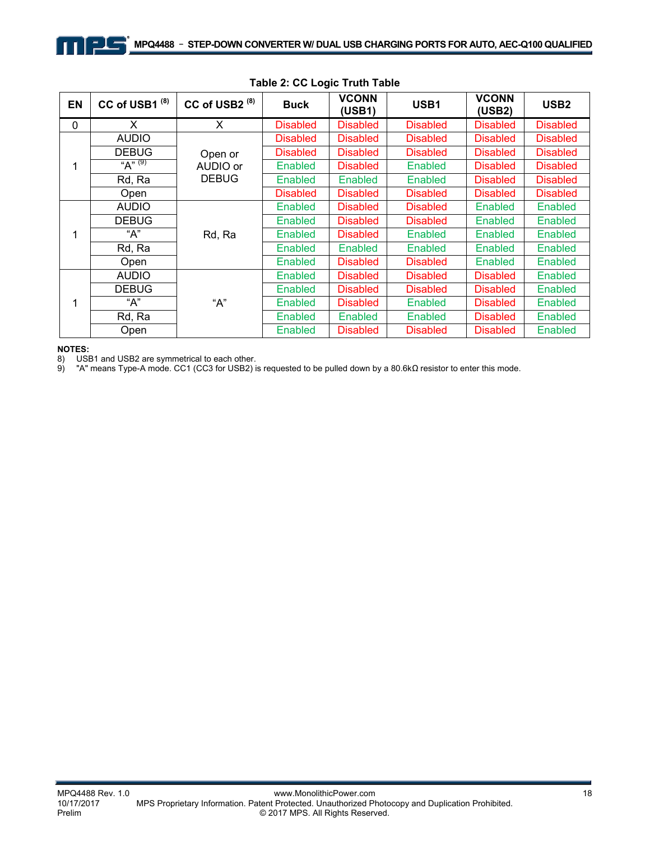| EN | CC of USB1 <sup>(8)</sup> | CC of USB2 <sup>(8)</sup> | <b>Buck</b>     | <b>VCONN</b><br>(USB1) | USB1            | <b>VCONN</b><br>(USB2) | USB <sub>2</sub> |
|----|---------------------------|---------------------------|-----------------|------------------------|-----------------|------------------------|------------------|
| 0  | X                         | X                         | <b>Disabled</b> | <b>Disabled</b>        | <b>Disabled</b> | <b>Disabled</b>        | <b>Disabled</b>  |
|    | <b>AUDIO</b>              |                           | <b>Disabled</b> | <b>Disabled</b>        | <b>Disabled</b> | <b>Disabled</b>        | <b>Disabled</b>  |
|    | <b>DEBUG</b>              | Open or                   | <b>Disabled</b> | <b>Disabled</b>        | <b>Disabled</b> | <b>Disabled</b>        | <b>Disabled</b>  |
| 1  | "A" $(9)$                 | AUDIO or                  | Enabled         | <b>Disabled</b>        | <b>Enabled</b>  | <b>Disabled</b>        | <b>Disabled</b>  |
|    | $Rd, \overline{Ra}$       | <b>DEBUG</b>              | Enabled         | Enabled                | Enabled         | <b>Disabled</b>        | <b>Disabled</b>  |
|    | Open                      |                           | <b>Disabled</b> | <b>Disabled</b>        | <b>Disabled</b> | <b>Disabled</b>        | <b>Disabled</b>  |
|    | <b>AUDIO</b>              | Rd, Ra                    | Enabled         | <b>Disabled</b>        | <b>Disabled</b> | Enabled                | <b>Enabled</b>   |
|    | <b>DEBUG</b>              |                           | Enabled         | <b>Disabled</b>        | <b>Disabled</b> | Enabled                | Enabled          |
| 1  | A''                       |                           | Enabled         | <b>Disabled</b>        | Enabled         | Enabled                | Enabled          |
|    | Rd, Ra                    |                           | Enabled         | Enabled                | <b>Enabled</b>  | Enabled                | <b>Enabled</b>   |
|    | Open                      |                           | Enabled         | <b>Disabled</b>        | <b>Disabled</b> | Enabled                | Enabled          |
|    | <b>AUDIO</b>              |                           | Enabled         | <b>Disabled</b>        | <b>Disabled</b> | <b>Disabled</b>        | Enabled          |
| 1  | <b>DEBUG</b>              |                           | Enabled         | <b>Disabled</b>        | <b>Disabled</b> | <b>Disabled</b>        | Enabled          |
|    | A''                       | "A"                       | Enabled         | <b>Disabled</b>        | <b>Enabled</b>  | <b>Disabled</b>        | Enabled          |
|    | Rd, Ra                    |                           | <b>Enabled</b>  | <b>Enabled</b>         | <b>Enabled</b>  | <b>Disabled</b>        | <b>Enabled</b>   |
|    | Open                      |                           | <b>Enabled</b>  | <b>Disabled</b>        | <b>Disabled</b> | <b>Disabled</b>        | Enabled          |

#### **Table 2: CC Logic Truth Table**

**NOTES:** 

8) USB1 and USB2 are symmetrical to each other.

9) "A" means Type-A mode. CC1 (CC3 for USB2) is requested to be pulled down by a 80.6kΩ resistor to enter this mode.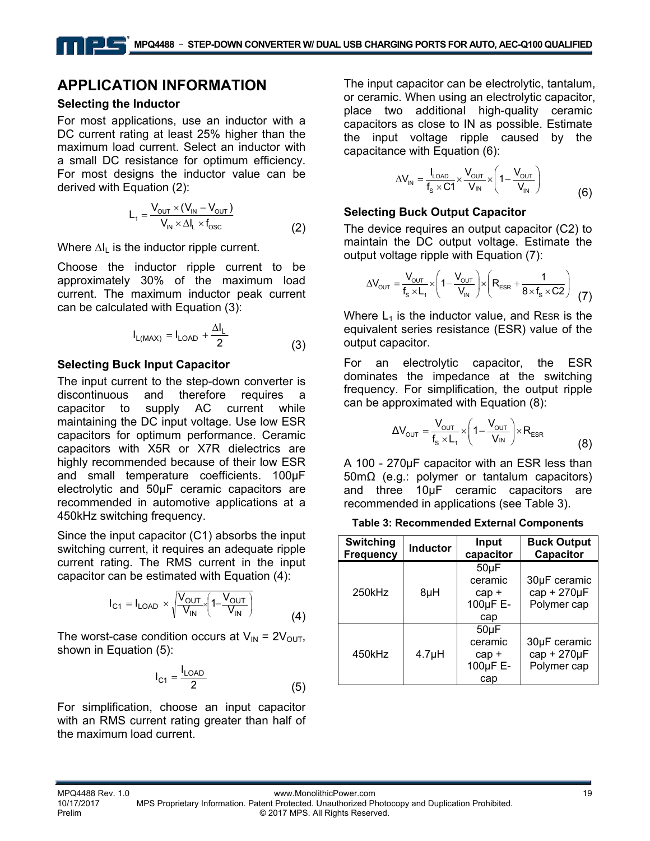## **APPLICATION INFORMATION**

#### **Selecting the Inductor**

For most applications, use an inductor with a DC current rating at least 25% higher than the maximum load current. Select an inductor with a small DC resistance for optimum efficiency. For most designs the inductor value can be derived with Equation (2):

$$
L_1 = \frac{V_{\text{OUT}} \times (V_{\text{IN}} - V_{\text{OUT}})}{V_{\text{IN}} \times \Delta l_{\text{L}} \times f_{\text{osc}}}
$$
(2)

Where  $\Delta I_L$  is the inductor ripple current.

Choose the inductor ripple current to be approximately 30% of the maximum load current. The maximum inductor peak current can be calculated with Equation (3):

$$
I_{L(MAX)} = I_{LOAD} + \frac{\Delta I_L}{2}
$$
 (3)

#### **Selecting Buck Input Capacitor**

The input current to the step-down converter is discontinuous and therefore requires a capacitor to supply AC current while maintaining the DC input voltage. Use low ESR capacitors for optimum performance. Ceramic capacitors with X5R or X7R dielectrics are highly recommended because of their low ESR and small temperature coefficients. 100µF electrolytic and 50µF ceramic capacitors are recommended in automotive applications at a 450kHz switching frequency.

Since the input capacitor (C1) absorbs the input switching current, it requires an adequate ripple current rating. The RMS current in the input capacitor can be estimated with Equation (4):

$$
I_{C1} = I_{LOAD} \times \sqrt{\frac{V_{OUT}}{V_{IN}}} \left(1 - \frac{V_{OUT}}{V_{IN}}\right)
$$
 (4)

The worst-case condition occurs at  $V_{IN} = 2V_{OUT}$ , shown in Equation (5):

$$
I_{C1} = \frac{I_{LOAD}}{2}
$$
 (5)

For simplification, choose an input capacitor with an RMS current rating greater than half of the maximum load current.

The input capacitor can be electrolytic, tantalum, or ceramic. When using an electrolytic capacitor, place two additional high-quality ceramic capacitors as close to IN as possible. Estimate the input voltage ripple caused by the capacitance with Equation (6):

$$
\Delta V_{\text{IN}} = \frac{I_{\text{LOAD}}}{f_s \times C1} \times \frac{V_{\text{OUT}}}{V_{\text{IN}}} \times \left(1 - \frac{V_{\text{OUT}}}{V_{\text{IN}}}\right)
$$
(6)

#### **Selecting Buck Output Capacitor**

The device requires an output capacitor (C2) to maintain the DC output voltage. Estimate the output voltage ripple with Equation (7):

$$
\Delta V_{\text{OUT}} = \frac{V_{\text{OUT}}}{f_s \times L_1} \times \left(1 - \frac{V_{\text{OUT}}}{V_{\text{IN}}}\right) \times \left(R_{\text{ESR}} + \frac{1}{8 \times f_s \times C2}\right) \tag{7}
$$

Where  $L_1$  is the inductor value, and RESR is the equivalent series resistance (ESR) value of the output capacitor.

For an electrolytic capacitor, the ESR dominates the impedance at the switching frequency. For simplification, the output ripple can be approximated with Equation (8):

$$
\Delta V_{\text{OUT}} = \frac{V_{\text{OUT}}}{f_s \times L_1} \times \left(1 - \frac{V_{\text{OUT}}}{V_{\text{IN}}}\right) \times R_{\text{ESR}}
$$
(8)

A 100 - 270μF capacitor with an ESR less than 50mΩ (e.g.: polymer or tantalum capacitors) and three 10μF ceramic capacitors are recommended in applications (see Table 3).

**Table 3: Recommended External Components** 

| <b>Switching</b><br><b>Frequency</b> | <b>Inductor</b> | Input<br>capacitor                                 | <b>Buck Output</b><br>Capacitor            |  |
|--------------------------------------|-----------------|----------------------------------------------------|--------------------------------------------|--|
| 250kHz                               | 8µH             | $50\mu F$<br>ceramic<br>$cap +$<br>100µF E-<br>cap | 30µF ceramic<br>cap + 270µF<br>Polymer cap |  |
| 450kHz                               | $4.7\muH$       | $50\mu F$<br>ceramic<br>$cap +$<br>100µF E-<br>cap | 30µF ceramic<br>cap + 270µF<br>Polymer cap |  |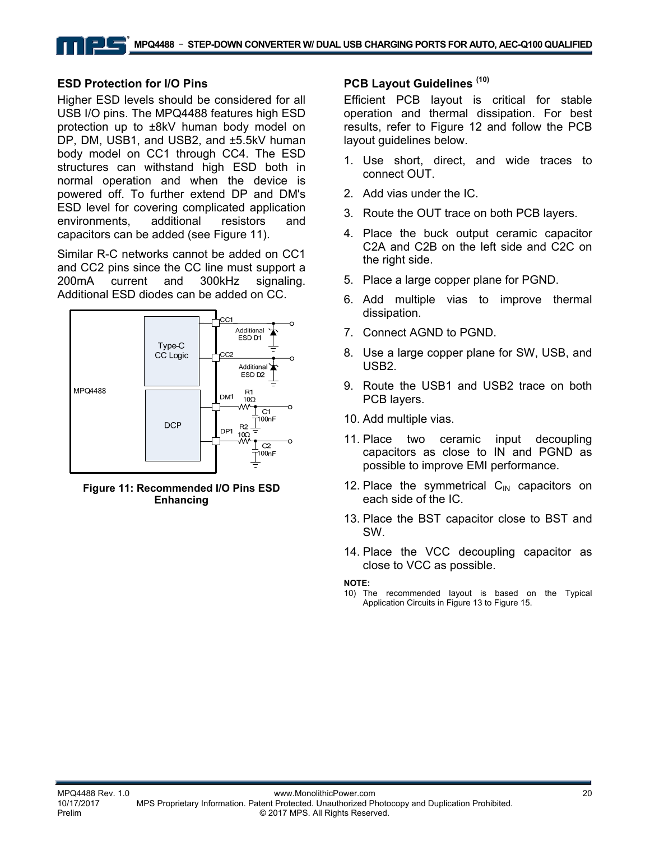#### **ESD Protection for I/O Pins**

Higher ESD levels should be considered for all USB I/O pins. The MPQ4488 features high ESD protection up to ±8kV human body model on DP, DM, USB1, and USB2, and ±5.5kV human body model on CC1 through CC4. The ESD structures can withstand high ESD both in normal operation and when the device is powered off. To further extend DP and DM's ESD level for covering complicated application environments, additional resistors and capacitors can be added (see Figure 11).

Similar R-C networks cannot be added on CC1 and CC2 pins since the CC line must support a 200mA current and 300kHz signaling. Additional ESD diodes can be added on CC.



**Figure 11: Recommended I/O Pins ESD Enhancing** 

#### **PCB Layout Guidelines (10)**

Efficient PCB layout is critical for stable operation and thermal dissipation. For best results, refer to Figure 12 and follow the PCB layout guidelines below.

- 1. Use short, direct, and wide traces to connect OUT.
- 2. Add vias under the IC.
- 3. Route the OUT trace on both PCB layers.
- 4. Place the buck output ceramic capacitor C2A and C2B on the left side and C2C on the right side.
- 5. Place a large copper plane for PGND.
- 6. Add multiple vias to improve thermal dissipation.
- 7. Connect AGND to PGND.
- 8. Use a large copper plane for SW, USB, and USB2.
- 9. Route the USB1 and USB2 trace on both PCB layers.
- 10. Add multiple vias.
- 11. Place two ceramic input decoupling capacitors as close to IN and PGND as possible to improve EMI performance.
- 12. Place the symmetrical  $C_{\text{IN}}$  capacitors on each side of the IC.
- 13. Place the BST capacitor close to BST and SW.
- 14. Place the VCC decoupling capacitor as close to VCC as possible.

**NOTE:** 

10) The recommended layout is based on the Typical Application Circuits in Figure 13 to Figure 15.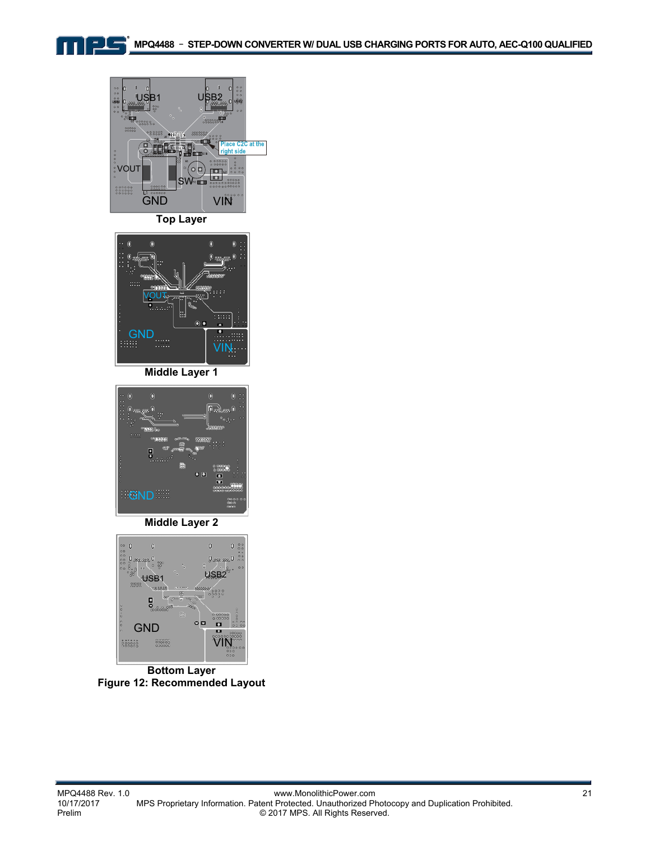



**Top Layer** 



**Middle Layer 1** 



**Middle Layer 2** 



**Bottom Layer Figure 12: Recommended Layout**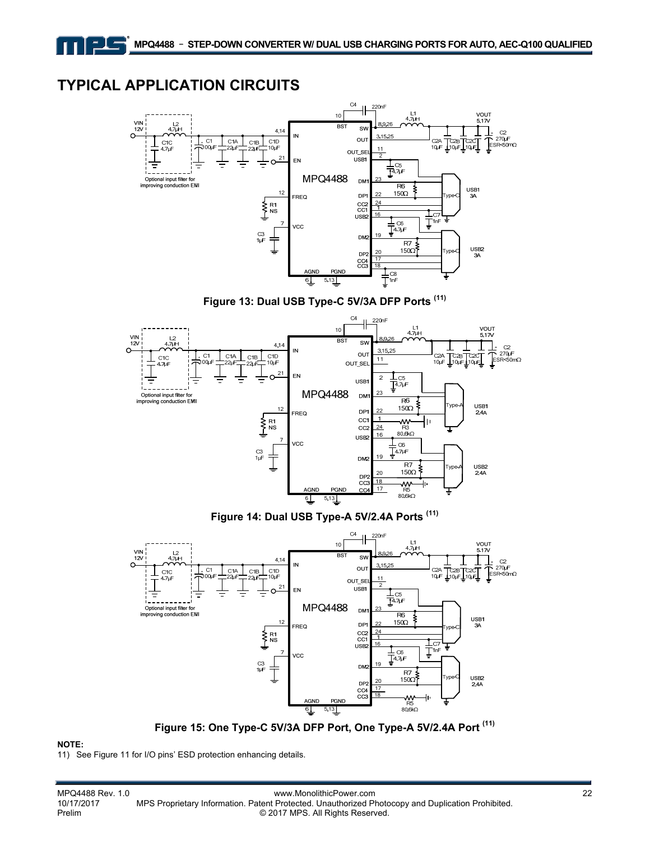## **TYPICAL APPLICATION CIRCUITS**

그녀



**Figure 13: Dual USB Type-C 5V/3A DFP Ports (11)** 



**Figure 14: Dual USB Type-A 5V/2.4A Ports (11)** 



**Figure 15: One Type-C 5V/3A DFP Port, One Type-A 5V/2.4A Port (11)** 

#### **NOTE:**

11) See Figure 11 for I/O pins' ESD protection enhancing details.